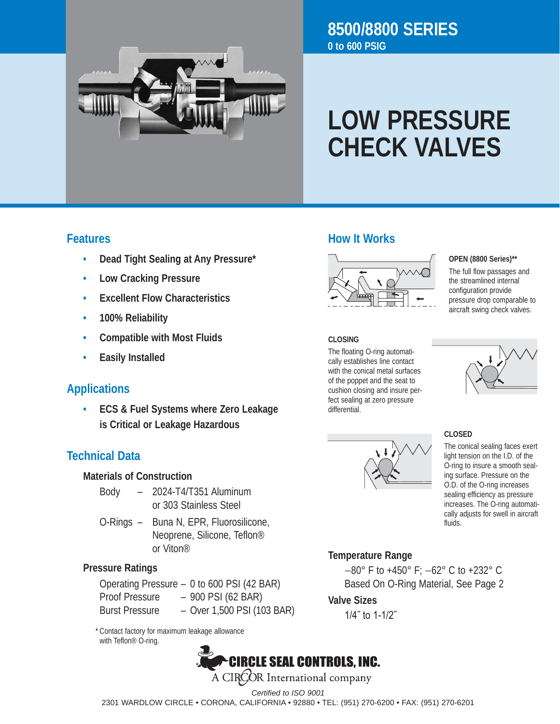

# **8500/8800 SERIES 0 to 600 PSIG**

# **LOW PRESSURE CHECK VALVES**

#### **Features**

- **• Dead Tight Sealing at Any Pressure\***
- **• Low Cracking Pressure**
- **• Excellent Flow Characteristics**
- **• 100% Reliability**
- **• Compatible with Most Fluids**
- **• Easily Installed**

# **Applications**

**• ECS & Fuel Systems where Zero Leakage is Critical or Leakage Hazardous**

## **Technical Data**

#### **Materials of Construction**

- Body – 2024-T4/T351 Aluminum or 303 Stainless Steel
- O-Rings Buna N, EPR, Fluorosilicone, Neoprene, Silicone, Teflon® or Viton®

#### **Pressure Ratings**

Operating Pressure - 0 to 600 PSI (42 BAR) Proof Pressure - 900 PSI (62 BAR) Burst Pressure - Over 1,500 PSI (103 BAR)

 \* Contact factory for maximum leakage allowance with Teflon® O-ring.

# **CIRCLE SEAL CONTROLS, INC.** A CIRCOR International company

# **How It Works**



**OPEN (8800 Series)\*\***

The full flow passages and the streamlined internal configuration provide pressure drop comparable to aircraft swing check valves.

#### **CLOSING**

The floating O-ring automatically establishes line contact with the conical metal surfaces of the poppet and the seat to cushion closing and insure perfect sealing at zero pressure differential.





**CLOSED** The conical sealing faces exert light tension on the I.D. of the O-ring to insure a smooth sealing surface. Pressure on the O.D. of the O-ring increases sealing efficiency as pressure increases. The O-ring automatically adjusts for swell in aircraft fluids.

# **Temperature Range**

−80° F to +450° F; −62° C to +232° C Based On O-Ring Material, See Page 2 

#### **Valve Sizes**

 1/4˝ to 1-1/2˝